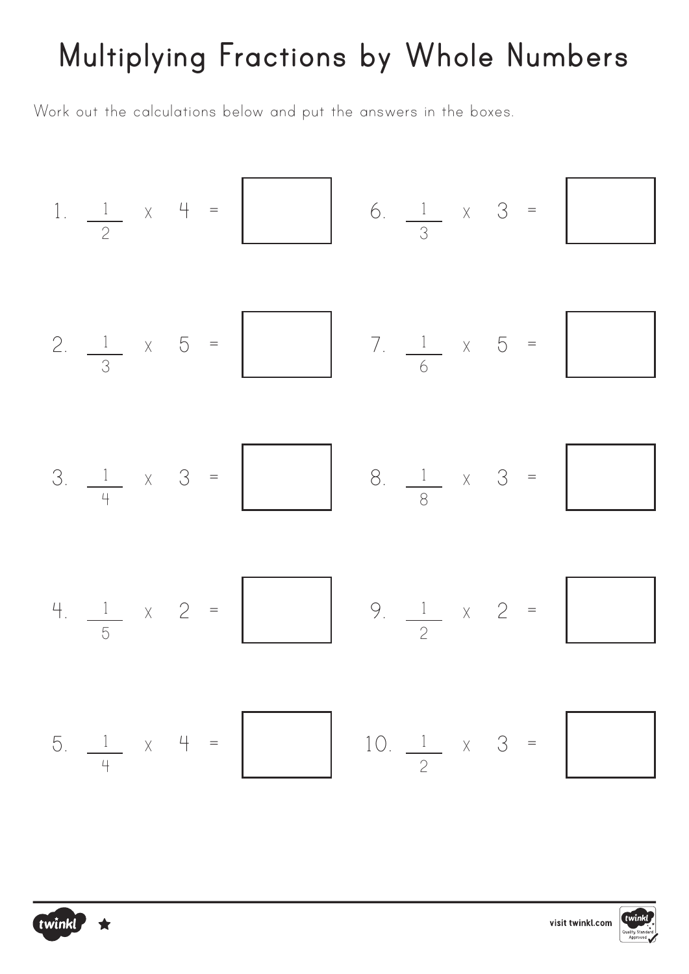# **Multiplying Fractions by Whole Numbers**

Work out the calculations below and put the answers in the boxes.





twinkl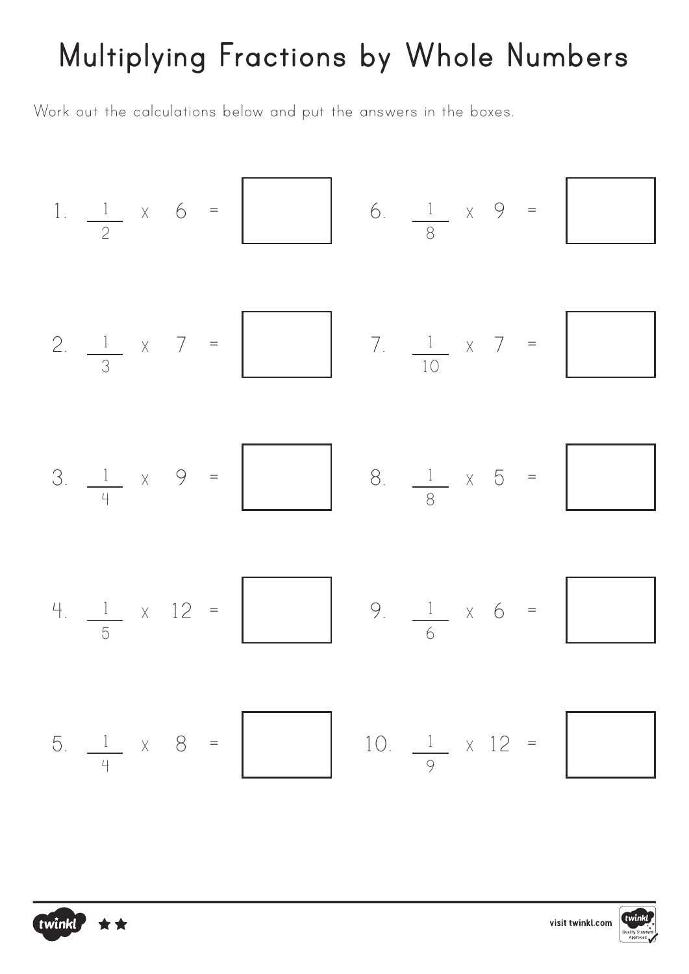# **Multiplying Fractions by Whole Numbers**

Work out the calculations below and put the answers in the boxes.

twinkl



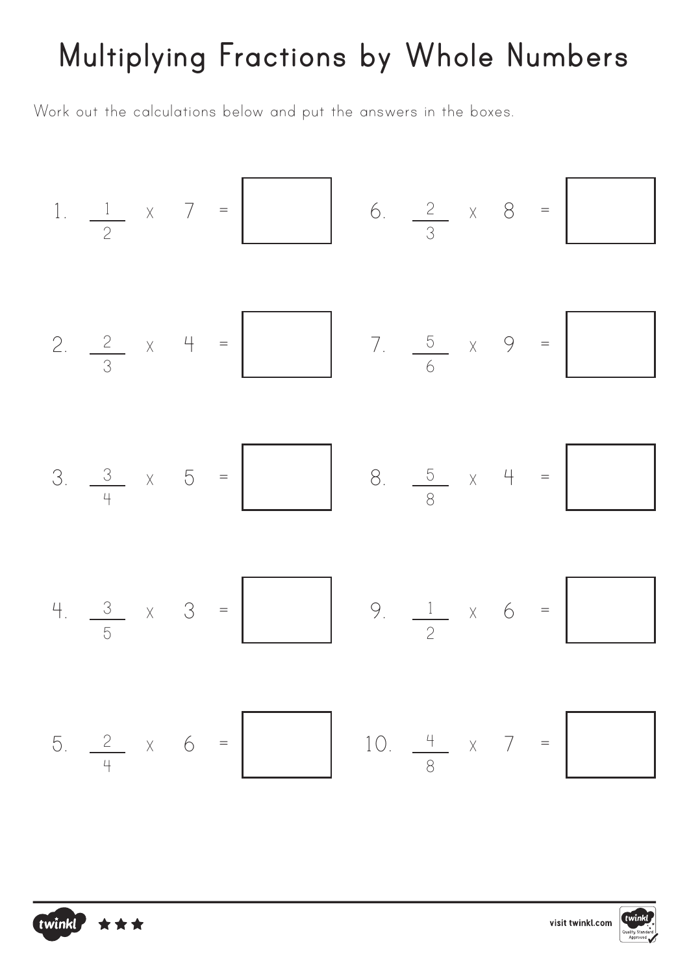# **Multiplying Fractions by Whole Numbers**

Work out the calculations below and put the answers in the boxes.

twinkl,

1. 
$$
\frac{1}{2}
$$
 x 7 = 6.  $\frac{2}{3}$  x 8 = 6.  $\frac{2}{3}$  x 8 = 6.  $\frac{2}{3}$  x 8 = 6.  $\frac{2}{3}$  x 8 = 6.  $\frac{2}{3}$  x 9 = 6.  $\frac{2}{3}$  x 9 = 6.  $\frac{5}{6}$  x 9 = 6.  $\frac{1}{6}$  x 9 = 6.  $\frac{1}{3}$  x 9 = 6.  $\frac{1}{3}$  x 9 = 6.  $\frac{1}{3}$  x 0 = 6.  $\frac{1}{3}$  x 0 = 6.  $\frac{1}{3}$  x 0 = 6.  $\frac{1}{3}$  x 7 = 6.  $\frac{1}{4}$  x 7 = 6.  $\frac{1}{8}$  x 8 = 6.  $\frac{1}{4}$  x 7 = 6.  $\frac{1}{8}$  x 8 = 6.  $\frac{1}{4}$  x 7 = 6.  $\frac{1}{8}$  x 8 = 6.  $\frac{1}{4}$  x 9 = 6.  $\frac{1}{4}$  y 10.  $\frac{4}{8}$  x 7 = 6.  $\frac{1}{4}$  y 10.  $\frac{1}{8}$  y 10.  $\frac{1}{8}$  y 10.  $\frac{1}{8}$  y 10.  $\frac{1}{8}$  z 10.  $\frac{1}{8}$  z 10.  $\frac{1}{8}$  z 10.  $\frac{1}{8}$  z 10.  $\frac{1}{8}$  z 11 z 12 z 13 z 14 z 15 z 16 z 17 z 18 z 18 z 19 z 10 z 10 z 11 z 11 z 12 z 13 z 13 z 14 z 15 z 16 z 17 z 17 z 18 z 18 z 19 z 11 z 11 z 12 z 13 z 14 z 15 z 17 z 18 z 18 z 19 z 11 z 11 z 12 z 13 z 14 z 15 z 17 z 18 z 19 z 11 z 11 z 12 z 13 z

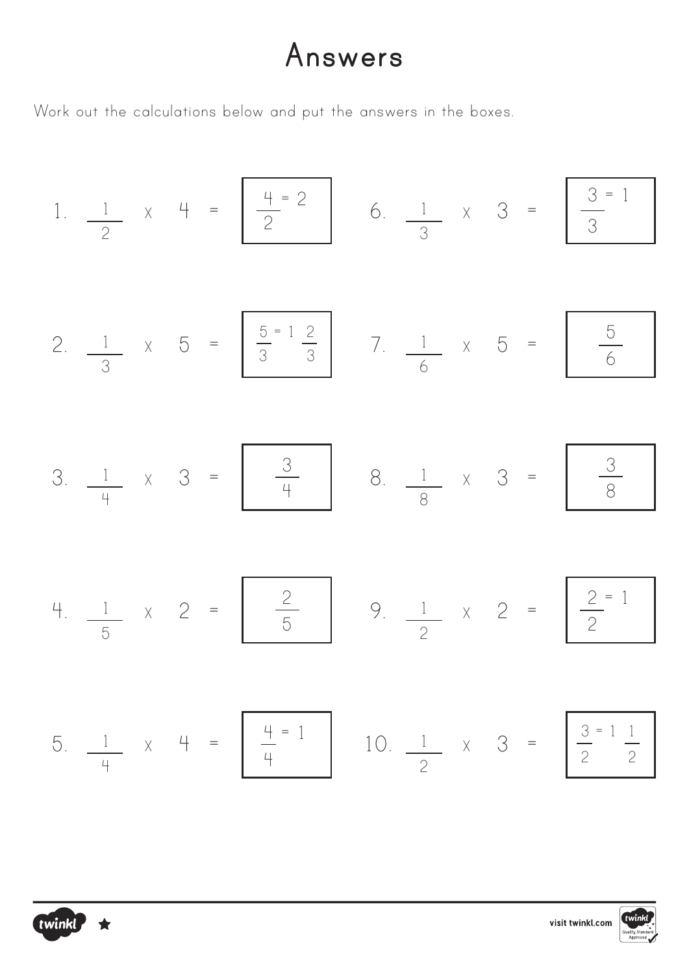### **Answers**

Work out the calculations below and put the answers in the boxes.

1. 
$$
\frac{1}{2}
$$
 x 4 =  $\frac{4-2}{2}$  6.  $\frac{1}{3}$  x 3 =  $\frac{3-1}{3}$   
\n2.  $\frac{1}{3}$  x 5 =  $\frac{5-12}{3}$  7.  $\frac{1}{6}$  x 5 =  $\frac{5}{6}$   
\n3.  $\frac{1}{4}$  x 3 =  $\frac{3}{4}$  8.  $\frac{1}{8}$  x 3 =  $\frac{3}{8}$   
\n4.  $\frac{1}{5}$  x 2 =  $\frac{2}{5}$  9.  $\frac{1}{2}$  x 2 =  $\frac{2-1}{2}$   
\n5.  $\frac{1}{4}$  x 4 =  $\frac{4-1}{4}$  10.  $\frac{1}{2}$  x 3 =  $\frac{3-11}{2}$ 



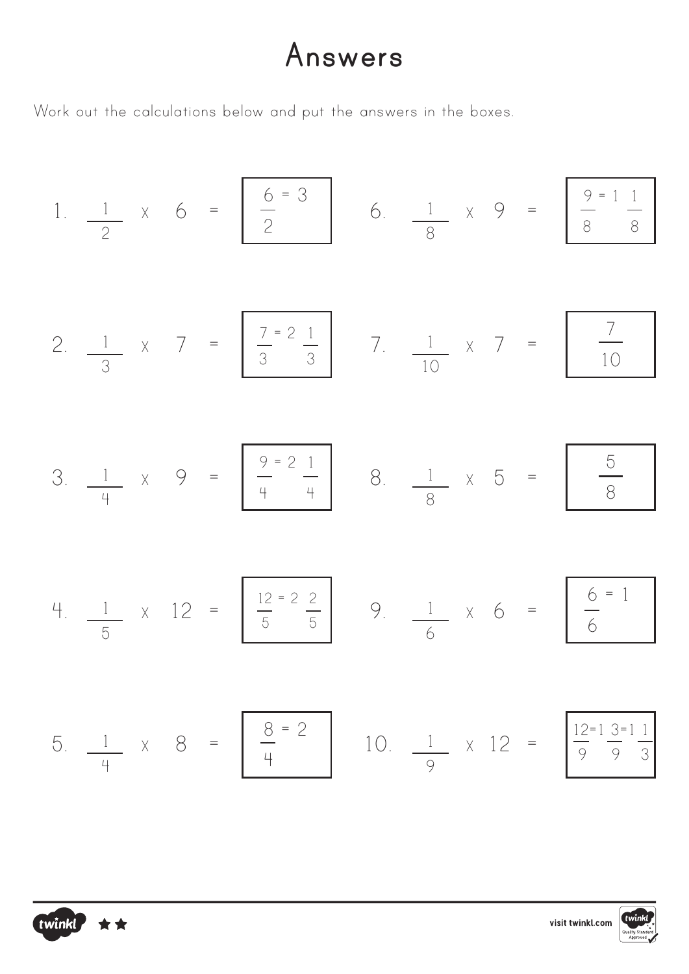### **Answers**

Work out the calculations below and put the answers in the boxes.

twinkl \*\*

1. 
$$
\frac{1}{2}
$$
 x 6 =  $\frac{6}{2}$  6.  $\frac{1}{8}$  x 9 =  $\frac{9}{8}$   $\frac{11}{8}$   
\n2.  $\frac{1}{3}$  x 7 =  $\frac{7}{3}$   $\frac{2}{3}$  7.  $\frac{1}{10}$  x 7 =  $\frac{7}{10}$   
\n3.  $\frac{1}{4}$  x 9 =  $\frac{9}{4}$   $\frac{2}{4}$  8.  $\frac{1}{8}$  x 5 =  $\frac{5}{8}$   
\n4.  $\frac{1}{5}$  x 12 =  $\frac{12 - 2}{5}$  9.  $\frac{1}{6}$  x 6 =  $\frac{6}{6}$   
\n5.  $\frac{1}{4}$  x 8 =  $\frac{8 - 2}{4}$  10.  $\frac{1}{9}$  x 12 =  $\frac{12 - 1}{9}$